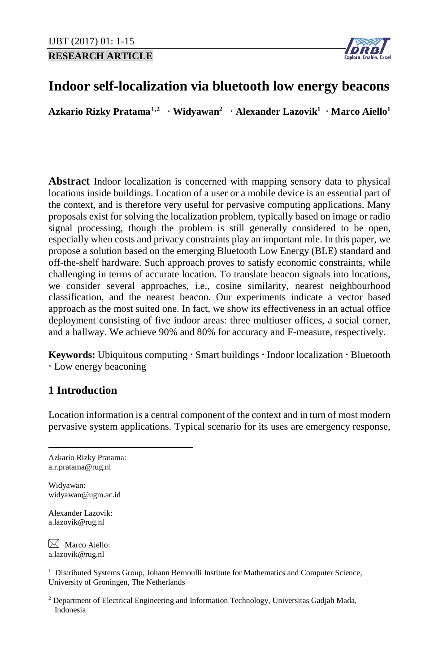**RESEARCH ARTICLE**



# **Indoor self-localization via bluetooth low energy beacons**

**Azkario Rizky Pratama[1,](#page-0-0)[2](#page-0-1) Widyawan2 Alexander Lazovik1 Marco Aiello1**

**Abstract** Indoor localization is concerned with mapping sensory data to physical locations inside buildings. Location of a user or a mobile device is an essential part of the context, and is therefore very useful for pervasive computing applications. Many proposals exist for solving the localization problem, typically based on image or radio signal processing, though the problem is still generally considered to be open, especially when costs and privacy constraints play an important role. In this paper, we propose a solution based on the emerging Bluetooth Low Energy (BLE) standard and off-the-shelf hardware. Such approach proves to satisfy economic constraints, while challenging in terms of accurate location. To translate beacon signals into locations, we consider several approaches, i.e., cosine similarity, nearest neighbourhood classification, and the nearest beacon. Our experiments indicate a vector based approach as the most suited one. In fact, we show its effectiveness in an actual office deployment consisting of five indoor areas: three multiuser offices, a social corner, and a hallway. We achieve 90% and 80% for accuracy and F-measure, respectively.

**Keywords:** Ubiquitous computing  $\cdot$  Smart buildings  $\cdot$  Indoor localization  $\cdot$  Bluetooth Low energy beaconing

# **1 Introduction**

Location information is a central component of the context and in turn of most modern pervasive system applications. Typical scenario for its uses are emergency response,

<span id="page-0-0"></span>Azkario Rizky Pratama: a.r.pratama@rug.nl

Widyawan: widyawan@ugm.ac.id

Alexander Lazovik: a.lazovik@rug.nl

 $\bowtie$  Marco Aiello: a.lazovik@rug.nl

<sup>1</sup> Distributed Systems Group, Johann Bernoulli Institute for Mathematics and Computer Science, University of Groningen, The Netherlands

<span id="page-0-1"></span><sup>2</sup> Department of Electrical Engineering and Information Technology, Universitas Gadjah Mada, Indonesia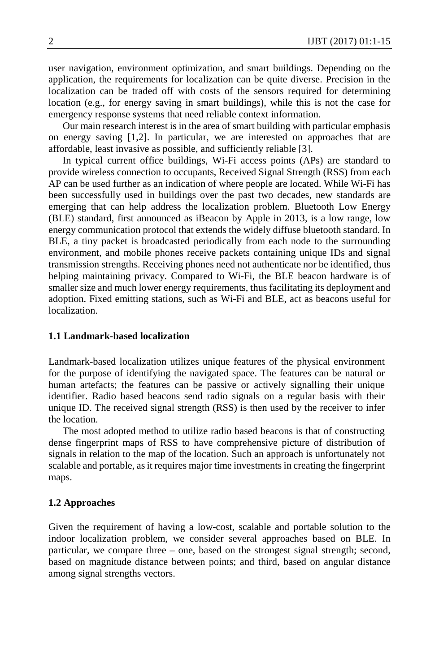user navigation, environment optimization, and smart buildings. Depending on the application, the requirements for localization can be quite diverse. Precision in the localization can be traded off with costs of the sensors required for determining location (e.g., for energy saving in smart buildings), while this is not the case for emergency response systems that need reliable context information.

Our main research interest is in the area of smart building with particular emphasis on energy saving [1,2]. In particular, we are interested on approaches that are affordable, least invasive as possible, and sufficiently reliable [3].

In typical current office buildings, Wi-Fi access points (APs) are standard to provide wireless connection to occupants, Received Signal Strength (RSS) from each AP can be used further as an indication of where people are located. While Wi-Fi has been successfully used in buildings over the past two decades, new standards are emerging that can help address the localization problem. Bluetooth Low Energy (BLE) standard, first announced as iBeacon by Apple in 2013, is a low range, low energy communication protocol that extends the widely diffuse bluetooth standard. In BLE, a tiny packet is broadcasted periodically from each node to the surrounding environment, and mobile phones receive packets containing unique IDs and signal transmission strengths. Receiving phones need not authenticate nor be identified, thus helping maintaining privacy. Compared to Wi-Fi, the BLE beacon hardware is of smaller size and much lower energy requirements, thus facilitating its deployment and adoption. Fixed emitting stations, such as Wi-Fi and BLE, act as beacons useful for localization.

## **1.1 Landmark-based localization**

Landmark-based localization utilizes unique features of the physical environment for the purpose of identifying the navigated space. The features can be natural or human artefacts; the features can be passive or actively signalling their unique identifier. Radio based beacons send radio signals on a regular basis with their unique ID. The received signal strength (RSS) is then used by the receiver to infer the location.

The most adopted method to utilize radio based beacons is that of constructing dense fingerprint maps of RSS to have comprehensive picture of distribution of signals in relation to the map of the location. Such an approach is unfortunately not scalable and portable, as it requires major time investments in creating the fingerprint maps.

### **1.2 Approaches**

Given the requirement of having a low-cost, scalable and portable solution to the indoor localization problem, we consider several approaches based on BLE. In particular, we compare three – one, based on the strongest signal strength; second, based on magnitude distance between points; and third, based on angular distance among signal strengths vectors.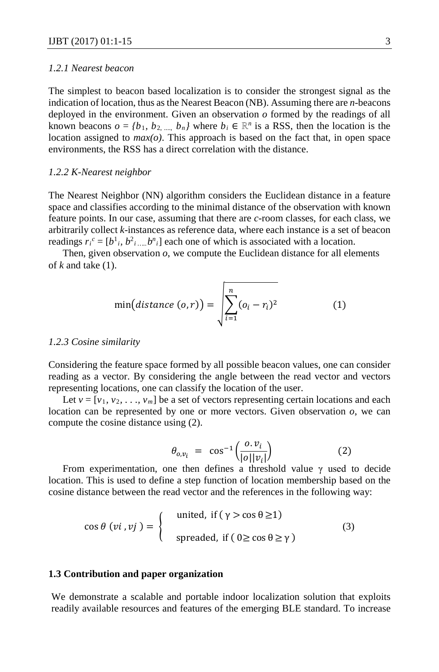# *1.2.1 Nearest beacon*

The simplest to beacon based localization is to consider the strongest signal as the indication of location, thus as the Nearest Beacon (NB). Assuming there are *n*-beacons deployed in the environment. Given an observation *o* formed by the readings of all known beacons  $o = \{b_1, b_2, ..., b_n\}$  where  $b_i \in \mathbb{R}^n$  is a RSS, then the location is the location assigned to *max(o)*. This approach is based on the fact that, in open space environments, the RSS has a direct correlation with the distance.

#### *1.2.2 K-Nearest neighbor*

The Nearest Neighbor (NN) algorithm considers the Euclidean distance in a feature space and classifies according to the minimal distance of the observation with known feature points. In our case, assuming that there are *c*-room classes, for each class, we arbitrarily collect *k*-instances as reference data, where each instance is a set of beacon readings  $r_i^c = [b^1_i, b^2_i, \ldots, b^n_i]$  each one of which is associated with a location.

Then, given observation *o*, we compute the Euclidean distance for all elements of *k* and take (1).

$$
\min\big(\text{distance } (o,r)\big) = \sqrt{\sum_{i=1}^{n} (o_i - r_i)^2} \tag{1}
$$

#### *1.2.3 Cosine similarity*

Considering the feature space formed by all possible beacon values, one can consider reading as a vector. By considering the angle between the read vector and vectors representing locations, one can classify the location of the user.

Let  $v = [v_1, v_2, \dots, v_m]$  be a set of vectors representing certain locations and each location can be represented by one or more vectors. Given observation *o*, we can compute the cosine distance using (2).

$$
\theta_{o,\nu_i} = \cos^{-1}\left(\frac{o \cdot \nu_i}{|o||\nu_i|}\right) \tag{2}
$$

From experimentation, one then defines a threshold value  $\gamma$  used to decide location. This is used to define a step function of location membership based on the cosine distance between the read vector and the references in the following way:

$$
\cos \theta \, (vi, vj) = \begin{cases} \text{united, if } (\gamma > \cos \theta \ge 1) \\ \text{spreaded, if } (0 \ge \cos \theta \ge \gamma) \end{cases} \tag{3}
$$

### **1.3 Contribution and paper organization**

We demonstrate a scalable and portable indoor localization solution that exploits readily available resources and features of the emerging BLE standard. To increase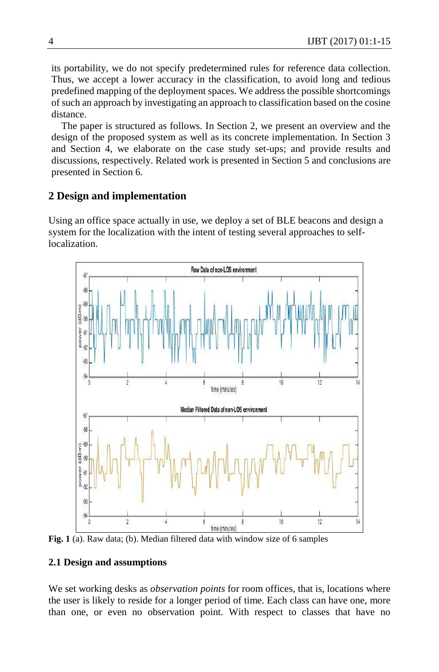its portability, we do not specify predetermined rules for reference data collection. Thus, we accept a lower accuracy in the classification, to avoid long and tedious predefined mapping of the deployment spaces. We address the possible shortcomings of such an approach by investigating an approach to classification based on the cosine distance.

 The paper is structured as follows. In Section 2, we present an overview and the design of the proposed system as well as its concrete implementation. In Section 3 and Section 4, we elaborate on the case study set-ups; and provide results and discussions, respectively. Related work is presented in Section 5 and conclusions are presented in Section 6.

# **2 Design and implementation**

Using an office space actually in use, we deploy a set of BLE beacons and design a system for the localization with the intent of testing several approaches to selflocalization.



**Fig. 1** (a). Raw data; (b). Median filtered data with window size of 6 samples

# **2.1 Design and assumptions**

We set working desks as *observation points* for room offices, that is, locations where the user is likely to reside for a longer period of time. Each class can have one, more than one, or even no observation point. With respect to classes that have no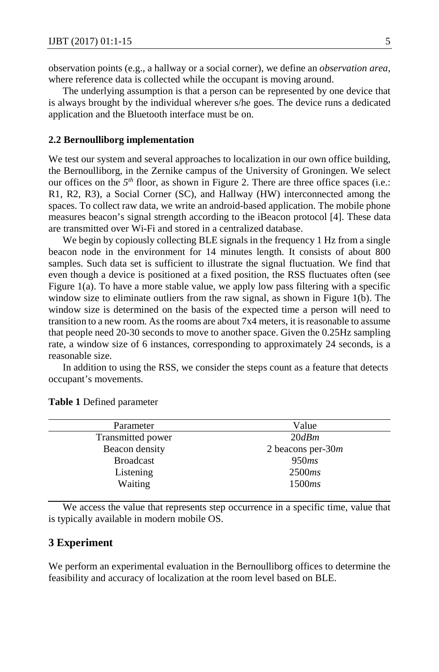observation points (e.g., a hallway or a social corner), we define an *observation area,*  where reference data is collected while the occupant is moving around.

The underlying assumption is that a person can be represented by one device that is always brought by the individual wherever s/he goes. The device runs a dedicated application and the Bluetooth interface must be on.

### **2.2 Bernoulliborg implementation**

We test our system and several approaches to localization in our own office building, the Bernoulliborg, in the Zernike campus of the University of Groningen. We select our offices on the *5th* floor, as shown in Figure 2. There are three office spaces (i.e.: R1, R2, R3), a Social Corner (SC), and Hallway (HW) interconnected among the spaces. To collect raw data, we write an android-based application. The mobile phone measures beacon's signal strength according to the iBeacon protocol [4]. These data are transmitted over Wi-Fi and stored in a centralized database.

We begin by copiously collecting BLE signals in the frequency 1 Hz from a single beacon node in the environment for 14 minutes length. It consists of about 800 samples. Such data set is sufficient to illustrate the signal fluctuation. We find that even though a device is positioned at a fixed position, the RSS fluctuates often (see Figure 1(a). To have a more stable value, we apply low pass filtering with a specific window size to eliminate outliers from the raw signal, as shown in Figure 1(b). The window size is determined on the basis of the expected time a person will need to transition to a new room. As the rooms are about 7x4 meters, it is reasonable to assume that people need 20-30 seconds to move to another space. Given the 0.25Hz sampling rate, a window size of 6 instances, corresponding to approximately 24 seconds, is a reasonable size.

In addition to using the RSS, we consider the steps count as a feature that detects occupant's movements.

| Parameter         | Value                |  |  |
|-------------------|----------------------|--|--|
| Transmitted power | 20dBm                |  |  |
| Beacon density    | 2 beacons per-30 $m$ |  |  |
| <b>Broadcast</b>  | 950ms                |  |  |
| Listening         | 2500ms               |  |  |
| Waiting           | 1500ms               |  |  |

**Table 1** Defined parameter

We access the value that represents step occurrence in a specific time, value that is typically available in modern mobile OS.

### **3 Experiment**

We perform an experimental evaluation in the Bernoulliborg offices to determine the feasibility and accuracy of localization at the room level based on BLE.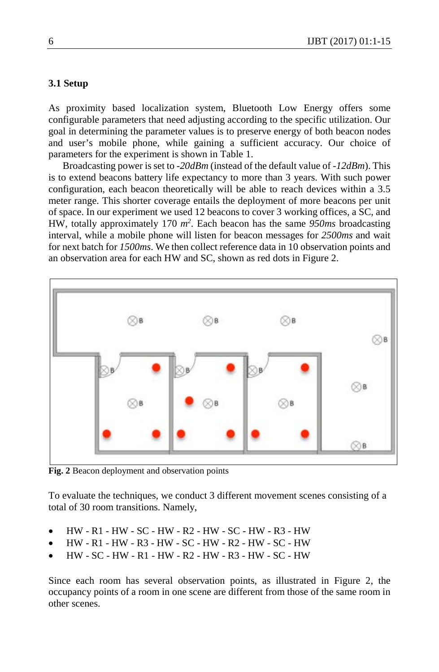# **3.1 Setup**

As proximity based localization system, Bluetooth Low Energy offers some configurable parameters that need adjusting according to the specific utilization. Our goal in determining the parameter values is to preserve energy of both beacon nodes and user's mobile phone, while gaining a sufficient accuracy. Our choice of parameters for the experiment is shown in Table 1.

Broadcasting power is set to *-20dBm* (instead of the default value of *-12dBm*). This is to extend beacons battery life expectancy to more than 3 years. With such power configuration, each beacon theoretically will be able to reach devices within a 3.5 meter range. This shorter coverage entails the deployment of more beacons per unit of space. In our experiment we used 12 beacons to cover 3 working offices, a SC, and HW, totally approximately 170 *m2* . Each beacon has the same *950ms* broadcasting interval, while a mobile phone will listen for beacon messages for *2500ms* and wait for next batch for *1500ms*. We then collect reference data in 10 observation points and an observation area for each HW and SC, shown as red dots in Figure 2.



**Fig. 2** Beacon deployment and observation points

To evaluate the techniques, we conduct 3 different movement scenes consisting of a total of 30 room transitions. Namely,

- HW R1 HW SC HW R2 HW SC HW R3 HW
- HW R1 HW R3 HW SC HW R2 HW SC HW
- HW SC HW R1 HW R2 HW R3 HW SC HW

Since each room has several observation points, as illustrated in Figure 2, the occupancy points of a room in one scene are different from those of the same room in other scenes.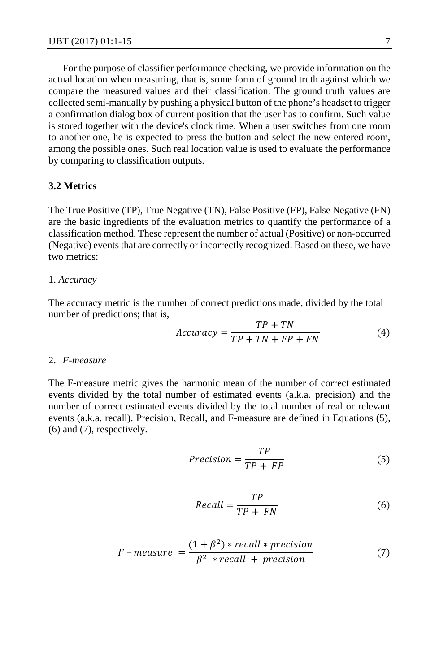For the purpose of classifier performance checking, we provide information on the actual location when measuring, that is, some form of ground truth against which we compare the measured values and their classification. The ground truth values are collected semi-manually by pushing a physical button of the phone's headset to trigger a confirmation dialog box of current position that the user has to confirm. Such value is stored together with the device's clock time. When a user switches from one room to another one, he is expected to press the button and select the new entered room, among the possible ones. Such real location value is used to evaluate the performance by comparing to classification outputs.

#### **3.2 Metrics**

The True Positive (TP), True Negative (TN), False Positive (FP), False Negative (FN) are the basic ingredients of the evaluation metrics to quantify the performance of a classification method. These represent the number of actual (Positive) or non-occurred (Negative) events that are correctly or incorrectly recognized. Based on these, we have two metrics:

#### 1. *Accuracy*

The accuracy metric is the number of correct predictions made, divided by the total number of predictions; that is,

$$
Accuracy = \frac{TP + TN}{TP + TN + FP + FN}
$$
 (4)

#### 2. *F-measure*

The F-measure metric gives the harmonic mean of the number of correct estimated events divided by the total number of estimated events (a.k.a. precision) and the number of correct estimated events divided by the total number of real or relevant events (a.k.a. recall). Precision, Recall, and F-measure are defined in Equations (5), (6) and (7), respectively.

$$
Precision = \frac{TP}{TP + FP}
$$
 (5)

$$
Recall = \frac{TP}{TP + FN} \tag{6}
$$

$$
F-measure = \frac{(1+\beta^2)*recall*precision}{\beta^2*recall+precision}
$$
 (7)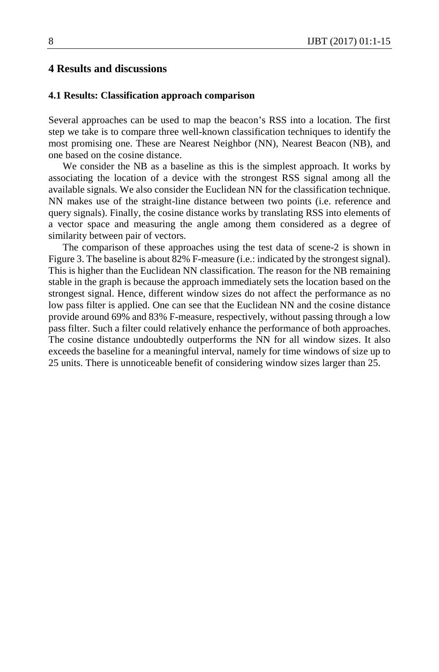# **4 Results and discussions**

#### **4.1 Results: Classification approach comparison**

Several approaches can be used to map the beacon's RSS into a location. The first step we take is to compare three well-known classification techniques to identify the most promising one. These are Nearest Neighbor (NN), Nearest Beacon (NB), and one based on the cosine distance.

We consider the NB as a baseline as this is the simplest approach. It works by associating the location of a device with the strongest RSS signal among all the available signals. We also consider the Euclidean NN for the classification technique. NN makes use of the straight-line distance between two points (i.e. reference and query signals). Finally, the cosine distance works by translating RSS into elements of a vector space and measuring the angle among them considered as a degree of similarity between pair of vectors.

The comparison of these approaches using the test data of scene-2 is shown in Figure 3. The baseline is about 82% F-measure (i.e.: indicated by the strongest signal). This is higher than the Euclidean NN classification. The reason for the NB remaining stable in the graph is because the approach immediately sets the location based on the strongest signal. Hence, different window sizes do not affect the performance as no low pass filter is applied. One can see that the Euclidean NN and the cosine distance provide around 69% and 83% F-measure, respectively, without passing through a low pass filter. Such a filter could relatively enhance the performance of both approaches. The cosine distance undoubtedly outperforms the NN for all window sizes. It also exceeds the baseline for a meaningful interval, namely for time windows of size up to 25 units. There is unnoticeable benefit of considering window sizes larger than 25.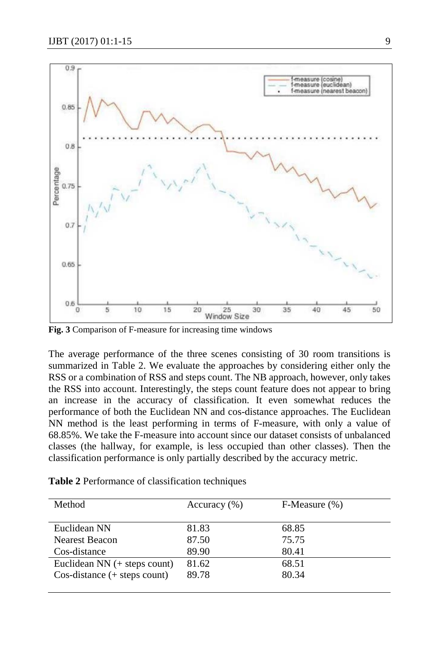

**Fig. 3** Comparison of F-measure for increasing time windows

The average performance of the three scenes consisting of 30 room transitions is summarized in Table 2. We evaluate the approaches by considering either only the RSS or a combination of RSS and steps count. The NB approach, however, only takes the RSS into account. Interestingly, the steps count feature does not appear to bring an increase in the accuracy of classification. It even somewhat reduces the performance of both the Euclidean NN and cos-distance approaches. The Euclidean NN method is the least performing in terms of F-measure, with only a value of 68.85%. We take the F-measure into account since our dataset consists of unbalanced classes (the hallway, for example, is less occupied than other classes). Then the classification performance is only partially described by the accuracy metric.

| Table 2 Performance of classification techniques |  |  |  |  |  |
|--------------------------------------------------|--|--|--|--|--|
|--------------------------------------------------|--|--|--|--|--|

| Method                                | Accuracy $(\% )$ | $F-Measure (%)$ |
|---------------------------------------|------------------|-----------------|
| Euclidean NN                          | 81.83            | 68.85           |
| Nearest Beacon                        | 87.50            | 75.75           |
| Cos-distance                          | 89.90            | 80.41           |
| Euclidean $NN$ (+ steps count)        | 81.62            | 68.51           |
| $Cos\text{-distance}$ (+ steps count) | 89.78            | 80.34           |
|                                       |                  |                 |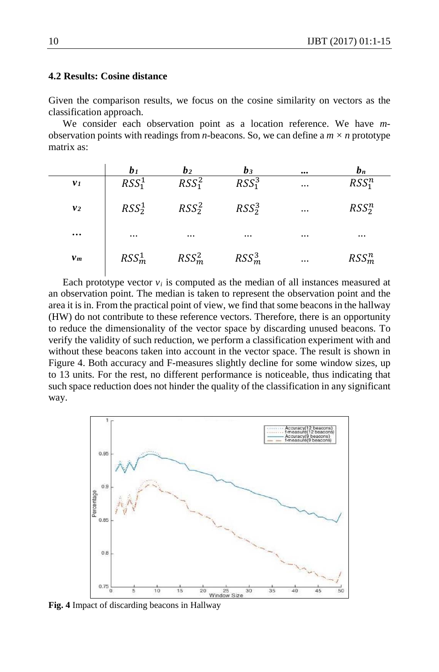# **4.2 Results: Cosine distance**

Given the comparison results, we focus on the cosine similarity on vectors as the classification approach.

We consider each observation point as a location reference. We have *m*observation points with readings from *n*-beacons. So, we can define a *m × n* prototype matrix as:

|                | b <sub>1</sub>                | b <sub>2</sub>                | $b_3$                         | $\cdots$ | $b_n$                         |
|----------------|-------------------------------|-------------------------------|-------------------------------|----------|-------------------------------|
| v <sub>1</sub> | RSS <sub>1</sub> <sup>1</sup> | RSS <sub>1</sub> <sup>2</sup> | RSS <sub>1</sub> <sup>3</sup> | $\cdots$ | RSS <sub>1</sub> <sup>n</sup> |
| v <sub>2</sub> | RSS <sub>2</sub> <sup>1</sup> | $RSS^2_2$                     | $RSS^3_2$                     | $\cdots$ | $RSS_2^n$                     |
| $\cdots$       | $\cdots$                      | $\cdots$                      | $\cdots$                      | $\cdots$ | $\cdots$                      |
| $v_m$          | RSS <sub>m</sub> <sup>1</sup> | RSS <sub>m</sub> <sup>2</sup> | RSS <sub>m</sub> <sup>3</sup> | $\cdots$ | $RSS_m^n$                     |

Each prototype vector  $v_i$  is computed as the median of all instances measured at an observation point. The median is taken to represent the observation point and the area it is in. From the practical point of view, we find that some beacons in the hallway (HW) do not contribute to these reference vectors. Therefore, there is an opportunity to reduce the dimensionality of the vector space by discarding unused beacons. To verify the validity of such reduction, we perform a classification experiment with and without these beacons taken into account in the vector space. The result is shown in Figure 4. Both accuracy and F-measures slightly decline for some window sizes, up to 13 units. For the rest, no different performance is noticeable, thus indicating that such space reduction does not hinder the quality of the classification in any significant way.



**Fig. 4** Impact of discarding beacons in Hallway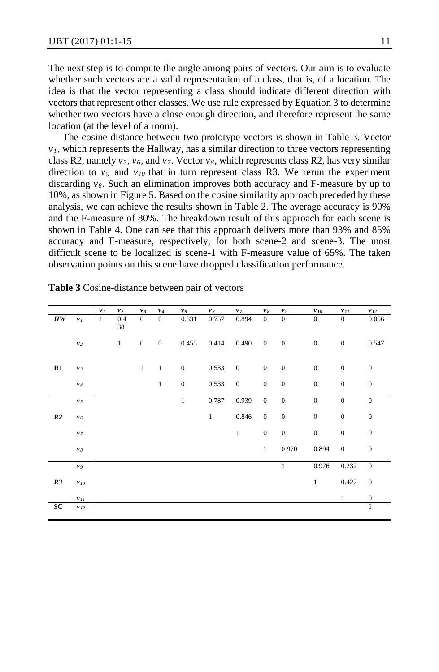The next step is to compute the angle among pairs of vectors. Our aim is to evaluate whether such vectors are a valid representation of a class, that is, of a location. The idea is that the vector representing a class should indicate different direction with vectors that represent other classes. We use rule expressed by Equation 3 to determine whether two vectors have a close enough direction, and therefore represent the same location (at the level of a room).

The cosine distance between two prototype vectors is shown in Table 3. Vector  $v_1$ , which represents the Hallway, has a similar direction to three vectors representing class R2, namely *v5*, *v6*, and *v7*. Vector *v8*, which represents class R2, has very similar direction to  $v_9$  and  $v_{10}$  that in turn represent class R3. We rerun the experiment discarding  $v_8$ . Such an elimination improves both accuracy and F-measure by up to 10%, as shown in Figure 5. Based on the cosine similarity approach preceded by these analysis, we can achieve the results shown in Table 2. The average accuracy is 90% and the F-measure of 80%. The breakdown result of this approach for each scene is shown in Table 4. One can see that this approach delivers more than 93% and 85% accuracy and F-measure, respectively, for both scene-2 and scene-3. The most difficult scene to be localized is scene-1 with F-measure value of 65%. The taken observation points on this scene have dropped classification performance.

|                                |                             | $v_I$        | $\nu_{2}$ | $v_3$            | $v_4$            | v <sub>5</sub>   | $v_6$ | $v_{\rm 7}$  | $v_{\mathcal{S}}$ | V 9              | $\nu$ 10         | $v_{II}$         | $\nu_{12}$       |
|--------------------------------|-----------------------------|--------------|-----------|------------------|------------------|------------------|-------|--------------|-------------------|------------------|------------------|------------------|------------------|
| $\boldsymbol{H}\boldsymbol{W}$ | $\boldsymbol{\nu}_I$        | $\mathbf{1}$ | 0.4<br>38 | $\overline{0}$   | $\overline{0}$   | 0.831            | 0.757 | 0.894        | $\boldsymbol{0}$  | $\boldsymbol{0}$ | $\boldsymbol{0}$ | $\mathbf{0}$     | 0.056            |
|                                | $\mathcal{V}2$              |              | $\,1\,$   | $\boldsymbol{0}$ | $\boldsymbol{0}$ | 0.455            | 0.414 | 0.490        | $\boldsymbol{0}$  | $\boldsymbol{0}$ | $\boldsymbol{0}$ | $\boldsymbol{0}$ | 0.547            |
| R1                             | $\mathcal{V}$ $\mathcal{S}$ |              |           | $\,1$            | $1\,$            | $\boldsymbol{0}$ | 0.533 | $\mathbf{0}$ | $\boldsymbol{0}$  | $\boldsymbol{0}$ | $\boldsymbol{0}$ | $\boldsymbol{0}$ | $\boldsymbol{0}$ |
|                                | $\mathcal{V}4$              |              |           |                  | $\mathbf{1}$     | $\boldsymbol{0}$ | 0.533 | $\mathbf{0}$ | $\mathbf{0}$      | $\mathbf{0}$     | $\boldsymbol{0}$ | $\boldsymbol{0}$ | $\boldsymbol{0}$ |
|                                | $v_{\sqrt{5}}$              |              |           |                  |                  | $\mathbf{1}$     | 0.787 | 0.939        | $\boldsymbol{0}$  | $\boldsymbol{0}$ | $\boldsymbol{0}$ | $\boldsymbol{0}$ | $\boldsymbol{0}$ |
| R2                             | $v_{\rm 6}$                 |              |           |                  |                  |                  | $1\,$ | 0.846        | $\boldsymbol{0}$  | $\boldsymbol{0}$ | $\boldsymbol{0}$ | $\boldsymbol{0}$ | $\boldsymbol{0}$ |
|                                | $\boldsymbol{\nu}$ 7        |              |           |                  |                  |                  |       | $\mathbf{1}$ | $\boldsymbol{0}$  | $\boldsymbol{0}$ | $\boldsymbol{0}$ | $\boldsymbol{0}$ | $\boldsymbol{0}$ |
|                                | $\nu s$                     |              |           |                  |                  |                  |       |              | $\mathbf{1}$      | 0.970            | 0.894            | $\mathbf{0}$     | $\boldsymbol{0}$ |
|                                | v <sub>9</sub>              |              |           |                  |                  |                  |       |              |                   | $\mathbf{1}$     | 0.976            | 0.232            | $\mathbf{0}$     |
| R3                             | $V\,I0$                     |              |           |                  |                  |                  |       |              |                   |                  | $\mathbf{1}$     | 0.427            | $\mathbf{0}$     |
|                                | $\mathcal{V}II$             |              |           |                  |                  |                  |       |              |                   |                  |                  | $\mathbf{1}$     | $\boldsymbol{0}$ |
| ${\bf SC}$                     | $V\,I2$                     |              |           |                  |                  |                  |       |              |                   |                  |                  |                  | $\mathbf{1}$     |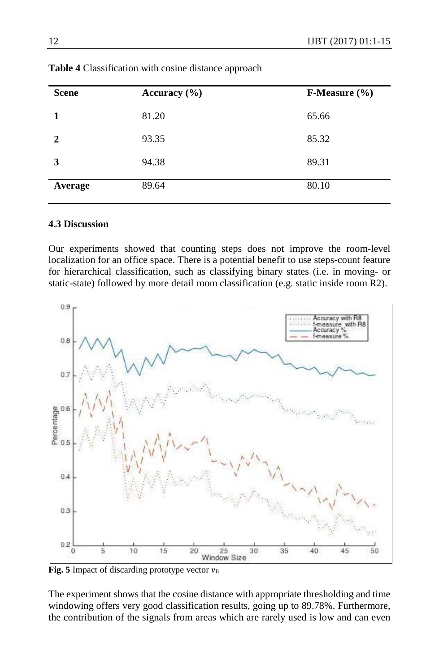| <b>Scene</b> | Accuracy $(\% )$ | <b>F-Measure</b> $(\% )$ |
|--------------|------------------|--------------------------|
| 1            | 81.20            | 65.66                    |
| $\mathbf{2}$ | 93.35            | 85.32                    |
| 3            | 94.38            | 89.31                    |
| Average      | 89.64            | 80.10                    |

**Table 4** Classification with cosine distance approach

# **4.3 Discussion**

Our experiments showed that counting steps does not improve the room-level localization for an office space. There is a potential benefit to use steps-count feature for hierarchical classification, such as classifying binary states (i.e. in moving- or static-state) followed by more detail room classification (e.g. static inside room R2).



**Fig. 5** Impact of discarding prototype vector *v*<sup>8</sup>

The experiment shows that the cosine distance with appropriate thresholding and time windowing offers very good classification results, going up to 89.78%. Furthermore, the contribution of the signals from areas which are rarely used is low and can even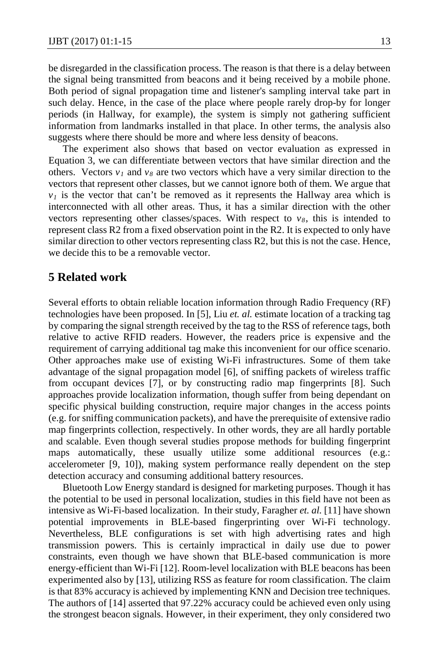be disregarded in the classification process. The reason is that there is a delay between the signal being transmitted from beacons and it being received by a mobile phone. Both period of signal propagation time and listener's sampling interval take part in such delay. Hence, in the case of the place where people rarely drop-by for longer periods (in Hallway, for example), the system is simply not gathering sufficient information from landmarks installed in that place. In other terms, the analysis also suggests where there should be more and where less density of beacons.

The experiment also shows that based on vector evaluation as expressed in Equation 3, we can differentiate between vectors that have similar direction and the others. Vectors  $v_1$  and  $v_8$  are two vectors which have a very similar direction to the vectors that represent other classes, but we cannot ignore both of them. We argue that  $v_1$  is the vector that can't be removed as it represents the Hallway area which is interconnected with all other areas. Thus, it has a similar direction with the other vectors representing other classes/spaces. With respect to  $v_8$ , this is intended to represent class R2 from a fixed observation point in the R2. It is expected to only have similar direction to other vectors representing class R2, but this is not the case. Hence, we decide this to be a removable vector.

# **5 Related work**

Several efforts to obtain reliable location information through Radio Frequency (RF) technologies have been proposed. In [5], Liu *et. al.* estimate location of a tracking tag by comparing the signal strength received by the tag to the RSS of reference tags, both relative to active RFID readers. However, the readers price is expensive and the requirement of carrying additional tag make this inconvenient for our office scenario. Other approaches make use of existing Wi-Fi infrastructures. Some of them take advantage of the signal propagation model [6], of sniffing packets of wireless traffic from occupant devices [7], or by constructing radio map fingerprints [8]. Such approaches provide localization information, though suffer from being dependant on specific physical building construction, require major changes in the access points (e.g. for sniffing communication packets), and have the prerequisite of extensive radio map fingerprints collection, respectively. In other words, they are all hardly portable and scalable. Even though several studies propose methods for building fingerprint maps automatically, these usually utilize some additional resources (e.g.: accelerometer [9, 10]), making system performance really dependent on the step detection accuracy and consuming additional battery resources.

Bluetooth Low Energy standard is designed for marketing purposes. Though it has the potential to be used in personal localization, studies in this field have not been as intensive as Wi-Fi-based localization. In their study, Faragher *et. al.* [11] have shown potential improvements in BLE-based fingerprinting over Wi-Fi technology. Nevertheless, BLE configurations is set with high advertising rates and high transmission powers. This is certainly impractical in daily use due to power constraints, even though we have shown that BLE-based communication is more energy-efficient than Wi-Fi [12]. Room-level localization with BLE beacons has been experimented also by [13], utilizing RSS as feature for room classification. The claim is that 83% accuracy is achieved by implementing KNN and Decision tree techniques. The authors of [14] asserted that 97.22% accuracy could be achieved even only using the strongest beacon signals. However, in their experiment, they only considered two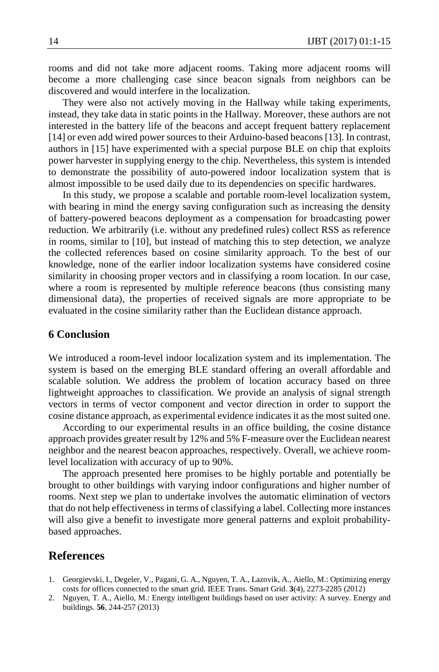rooms and did not take more adjacent rooms. Taking more adjacent rooms will become a more challenging case since beacon signals from neighbors can be discovered and would interfere in the localization.

They were also not actively moving in the Hallway while taking experiments, instead, they take data in static points in the Hallway. Moreover, these authors are not interested in the battery life of the beacons and accept frequent battery replacement [14] or even add wired power sources to their Arduino-based beacons [13]. In contrast, authors in [15] have experimented with a special purpose BLE on chip that exploits power harvester in supplying energy to the chip. Nevertheless, this system is intended to demonstrate the possibility of auto-powered indoor localization system that is almost impossible to be used daily due to its dependencies on specific hardwares.

In this study, we propose a scalable and portable room-level localization system, with bearing in mind the energy saving configuration such as increasing the density of battery-powered beacons deployment as a compensation for broadcasting power reduction. We arbitrarily (i.e. without any predefined rules) collect RSS as reference in rooms, similar to [10], but instead of matching this to step detection, we analyze the collected references based on cosine similarity approach. To the best of our knowledge, none of the earlier indoor localization systems have considered cosine similarity in choosing proper vectors and in classifying a room location. In our case, where a room is represented by multiple reference beacons (thus consisting many dimensional data), the properties of received signals are more appropriate to be evaluated in the cosine similarity rather than the Euclidean distance approach.

# **6 Conclusion**

We introduced a room-level indoor localization system and its implementation. The system is based on the emerging BLE standard offering an overall affordable and scalable solution. We address the problem of location accuracy based on three lightweight approaches to classification. We provide an analysis of signal strength vectors in terms of vector component and vector direction in order to support the cosine distance approach, as experimental evidence indicates it as the most suited one.

According to our experimental results in an office building, the cosine distance approach provides greater result by 12% and 5% F-measure over the Euclidean nearest neighbor and the nearest beacon approaches, respectively. Overall, we achieve roomlevel localization with accuracy of up to 90%.

The approach presented here promises to be highly portable and potentially be brought to other buildings with varying indoor configurations and higher number of rooms. Next step we plan to undertake involves the automatic elimination of vectors that do not help effectiveness in terms of classifying a label. Collecting more instances will also give a benefit to investigate more general patterns and exploit probabilitybased approaches.

# **References**

- 1. Georgievski, I., Degeler, V., Pagani, G. A., Nguyen, T. A., Lazovik, A., Aiello, M.: Optimizing energy costs for offices connected to the smart grid. IEEE Trans. Smart Grid. **3**(4), 2273-2285 (2012)
- 2. Nguyen, T. A., Aiello, M.: Energy intelligent buildings based on user activity: A survey. Energy and buildings. **56**, 244-257 (2013)